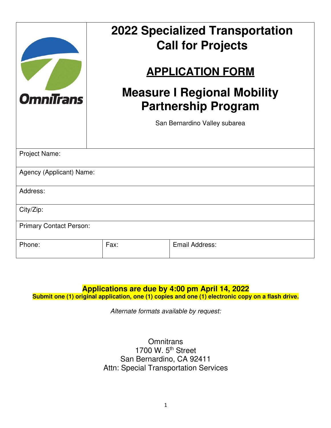|                                | <b>2022 Specialized Transportation</b><br><b>Call for Projects</b><br><b>APPLICATION FORM</b> |  |                               |  |  |
|--------------------------------|-----------------------------------------------------------------------------------------------|--|-------------------------------|--|--|
| <b>OmniTrans</b>               | <b>Measure I Regional Mobility</b><br><b>Partnership Program</b>                              |  |                               |  |  |
|                                |                                                                                               |  | San Bernardino Valley subarea |  |  |
| Project Name:                  |                                                                                               |  |                               |  |  |
| Agency (Applicant) Name:       |                                                                                               |  |                               |  |  |
| Address:                       |                                                                                               |  |                               |  |  |
| City/Zip:                      |                                                                                               |  |                               |  |  |
| <b>Primary Contact Person:</b> |                                                                                               |  |                               |  |  |
| Phone:                         | Fax:                                                                                          |  | <b>Email Address:</b>         |  |  |

#### **Applications are due by 4:00 pm April 14, 2022**

Submit one (1) original application, one (1) copies and one (1) electronic copy on a flash drive.

*Alternate formats available by request:* 

**Omnitrans** 1700 W. 5<sup>th</sup> Street San Bernardino, CA 92411 Attn: Special Transportation Services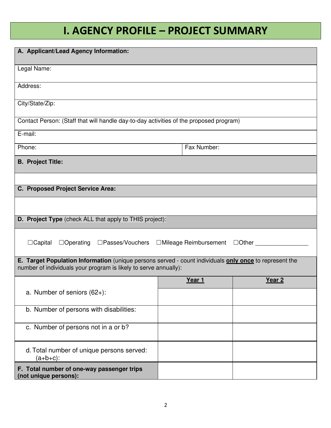# **I. AGENCY PROFILE – PROJECT SUMMARY**

| A. Applicant/Lead Agency Information:                                                                                                                                      |             |                   |  |  |  |
|----------------------------------------------------------------------------------------------------------------------------------------------------------------------------|-------------|-------------------|--|--|--|
|                                                                                                                                                                            |             |                   |  |  |  |
| Legal Name:                                                                                                                                                                |             |                   |  |  |  |
| Address:                                                                                                                                                                   |             |                   |  |  |  |
| City/State/Zip:                                                                                                                                                            |             |                   |  |  |  |
| Contact Person: (Staff that will handle day-to-day activities of the proposed program)                                                                                     |             |                   |  |  |  |
| E-mail:                                                                                                                                                                    |             |                   |  |  |  |
| Phone:                                                                                                                                                                     | Fax Number: |                   |  |  |  |
| <b>B. Project Title:</b>                                                                                                                                                   |             |                   |  |  |  |
|                                                                                                                                                                            |             |                   |  |  |  |
| C. Proposed Project Service Area:                                                                                                                                          |             |                   |  |  |  |
|                                                                                                                                                                            |             |                   |  |  |  |
| <b>D. Project Type</b> (check ALL that apply to THIS project):                                                                                                             |             |                   |  |  |  |
| $\Box$ Capital<br>□Operating □Passes/Vouchers □Mileage Reimbursement □Other                                                                                                |             |                   |  |  |  |
| E. Target Population Information (unique persons served - count individuals only once to represent the<br>number of individuals your program is likely to serve annually): |             |                   |  |  |  |
|                                                                                                                                                                            | Year 1      | Year <sub>2</sub> |  |  |  |
| a. Number of seniors $(62+)$ :                                                                                                                                             |             |                   |  |  |  |
| b. Number of persons with disabilities:                                                                                                                                    |             |                   |  |  |  |
| c. Number of persons not in a or b?                                                                                                                                        |             |                   |  |  |  |
| d. Total number of unique persons served:<br>$(a+b+c)$ :                                                                                                                   |             |                   |  |  |  |
| F. Total number of one-way passenger trips<br>(not unique persons):                                                                                                        |             |                   |  |  |  |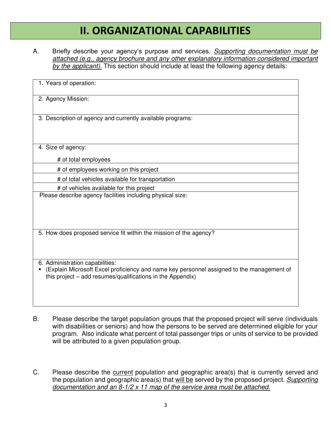## **II. ORGANIZATIONAL CAPABILITIES**

A. Briefly describe your agency's purpose and services*. Supporting documentation must be attached (e.g., agency brochure and any other explanatory information considered important by the applicant).* This section should include at least the following agency details:

| 1. Years of operation:                                                                                                                                                                     |
|--------------------------------------------------------------------------------------------------------------------------------------------------------------------------------------------|
| 2. Agency Mission:                                                                                                                                                                         |
| 3. Description of agency and currently available programs:                                                                                                                                 |
| 4. Size of agency:                                                                                                                                                                         |
| # of total employees                                                                                                                                                                       |
| # of employees working on this project                                                                                                                                                     |
| # of total vehicles available for transportation                                                                                                                                           |
| # of vehicles available for this project                                                                                                                                                   |
| Please describe agency facilities including physical size:                                                                                                                                 |
| 5. How does proposed service fit within the mission of the agency?                                                                                                                         |
| 6. Administration capabilities:<br>(Explain Microsoft Excel proficiency and name key personnel assigned to the management of<br>this project – add resumes/qualifications in the Appendix) |

- B. Please describe the target population groups that the proposed project will serve (individuals with disabilities or seniors) and how the persons to be served are determined eligible for your program. Also indicate what percent of total passenger trips or units of service to be provided will be attributed to a given population group.
- C. Please describe the current population and geographic area(s) that is currently served and the population and geographic area(s) that will be served by the proposed project. *Supporting documentation and an 8-1/2 x 11 map of the service area must be attached.*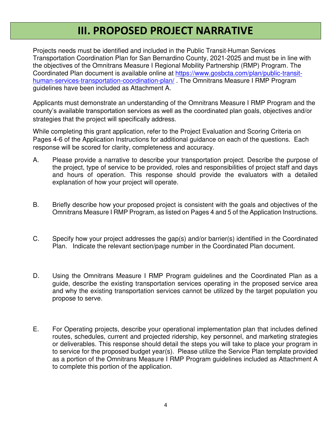#### **III. PROPOSED PROJECT NARRATIVE**

Projects needs must be identified and included in the Public Transit-Human Services Transportation Coordination Plan for San Bernardino County, 2021-2025 and must be in line with the objectives of the Omnitrans Measure I Regional Mobility Partnership (RMP) Program. The Coordinated Plan document is available online at [https://www.gosbcta.com/plan/public-transit](https://www.gosbcta.com/plan/public-transit-human-services-transportation-coordination-plan/)[human-services-transportation-coordination-plan/](https://www.gosbcta.com/plan/public-transit-human-services-transportation-coordination-plan/) . The Omnitrans Measure I RMP Program guidelines have been included as Attachment A.

Applicants must demonstrate an understanding of the Omnitrans Measure I RMP Program and the county's available transportation services as well as the coordinated plan goals, objectives and/or strategies that the project will specifically address.

While completing this grant application, refer to the Project Evaluation and Scoring Criteria on Pages 4-6 of the Application Instructions for additional guidance on each of the questions. Each response will be scored for clarity, completeness and accuracy.

- A. Please provide a narrative to describe your transportation project. Describe the purpose of the project, type of service to be provided, roles and responsibilities of project staff and days and hours of operation. This response should provide the evaluators with a detailed explanation of how your project will operate.
- B. Briefly describe how your proposed project is consistent with the goals and objectives of the Omnitrans Measure I RMP Program, as listed on Pages 4 and 5 of the Application Instructions.
- C. Specify how your project addresses the gap(s) and/or barrier(s) identified in the Coordinated Plan. Indicate the relevant section/page number in the Coordinated Plan document.
- D. Using the Omnitrans Measure I RMP Program guidelines and the Coordinated Plan as a guide, describe the existing transportation services operating in the proposed service area and why the existing transportation services cannot be utilized by the target population you propose to serve.
- E. For Operating projects, describe your operational implementation plan that includes defined routes, schedules, current and projected ridership, key personnel, and marketing strategies or deliverables. This response should detail the steps you will take to place your program in to service for the proposed budget year(s). Please utilize the Service Plan template provided as a portion of the Omnitrans Measure I RMP Program guidelines included as Attachment A to complete this portion of the application.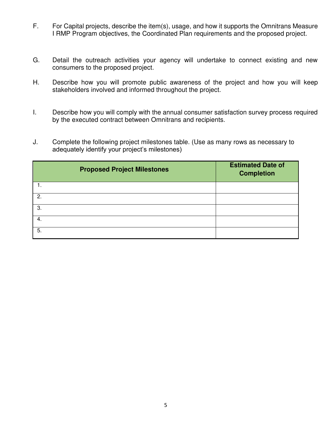- F. For Capital projects, describe the item(s), usage, and how it supports the Omnitrans Measure I RMP Program objectives, the Coordinated Plan requirements and the proposed project.
- G. Detail the outreach activities your agency will undertake to connect existing and new consumers to the proposed project.
- H. Describe how you will promote public awareness of the project and how you will keep stakeholders involved and informed throughout the project.
- I. Describe how you will comply with the annual consumer satisfaction survey process required by the executed contract between Omnitrans and recipients.
- J. Complete the following project milestones table. (Use as many rows as necessary to adequately identify your project's milestones)

| <b>Proposed Project Milestones</b> | <b>Estimated Date of</b><br><b>Completion</b> |  |
|------------------------------------|-----------------------------------------------|--|
|                                    |                                               |  |
| 2.                                 |                                               |  |
| 3.                                 |                                               |  |
| 4.                                 |                                               |  |
| 5.                                 |                                               |  |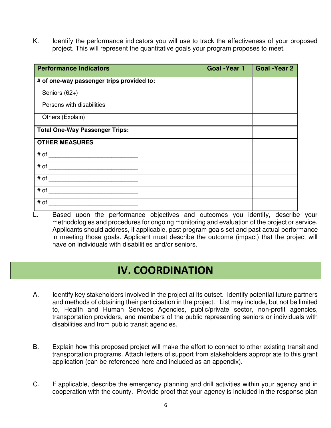K. Identify the performance indicators you will use to track the effectiveness of your proposed project. This will represent the quantitative goals your program proposes to meet.

| <b>Performance Indicators</b>             | Goal -Year 1 | <b>Goal -Year 2</b> |
|-------------------------------------------|--------------|---------------------|
| # of one-way passenger trips provided to: |              |                     |
| Seniors (62+)                             |              |                     |
| Persons with disabilities                 |              |                     |
| Others (Explain)                          |              |                     |
| <b>Total One-Way Passenger Trips:</b>     |              |                     |
| <b>OTHER MEASURES</b>                     |              |                     |
|                                           |              |                     |
|                                           |              |                     |
|                                           |              |                     |
|                                           |              |                     |
| # of                                      |              |                     |

L. Based upon the performance objectives and outcomes you identify, describe your methodologies and procedures for ongoing monitoring and evaluation of the project or service. Applicants should address, if applicable, past program goals set and past actual performance in meeting those goals. Applicant must describe the outcome (impact) that the project will have on individuals with disabilities and/or seniors.

## **IV. COORDINATION**

- A. Identify key stakeholders involved in the project at its outset. Identify potential future partners and methods of obtaining their participation in the project. List may include, but not be limited to, Health and Human Services Agencies, public/private sector, non-profit agencies, transportation providers, and members of the public representing seniors or individuals with disabilities and from public transit agencies.
- B. Explain how this proposed project will make the effort to connect to other existing transit and transportation programs. Attach letters of support from stakeholders appropriate to this grant application (can be referenced here and included as an appendix).
- C. If applicable, describe the emergency planning and drill activities within your agency and in cooperation with the county. Provide proof that your agency is included in the response plan